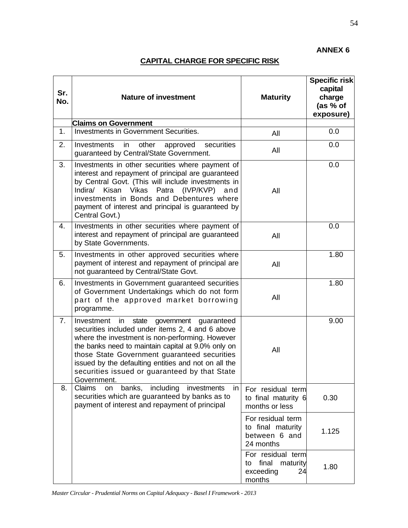## **ANNEX 6**

## **CAPITAL CHARGE FOR SPECIFIC RISK**

| Sr.<br>No. | <b>Nature of investment</b>                                                                                                                                                                                                                                                                                                                                                             | <b>Maturity</b>                                                           | <b>Specific risk</b><br>capital<br>charge<br>(as % of<br>exposure) |
|------------|-----------------------------------------------------------------------------------------------------------------------------------------------------------------------------------------------------------------------------------------------------------------------------------------------------------------------------------------------------------------------------------------|---------------------------------------------------------------------------|--------------------------------------------------------------------|
|            | <b>Claims on Government</b>                                                                                                                                                                                                                                                                                                                                                             |                                                                           |                                                                    |
| 1.         | Investments in Government Securities.                                                                                                                                                                                                                                                                                                                                                   | All                                                                       | 0.0                                                                |
| 2.         | other<br>securities<br>Investments<br>in<br>approved<br>guaranteed by Central/State Government.                                                                                                                                                                                                                                                                                         | All                                                                       | 0.0                                                                |
| 3.         | Investments in other securities where payment of<br>interest and repayment of principal are guaranteed<br>by Central Govt. (This will include investments in<br>Indira/ Kisan Vikas Patra (IVP/KVP) and<br>investments in Bonds and Debentures where<br>payment of interest and principal is guaranteed by<br>Central Govt.)                                                            | All                                                                       | 0.0                                                                |
| 4.         | Investments in other securities where payment of<br>interest and repayment of principal are guaranteed<br>by State Governments.                                                                                                                                                                                                                                                         | All                                                                       | 0.0                                                                |
| 5.         | Investments in other approved securities where<br>payment of interest and repayment of principal are<br>not guaranteed by Central/State Govt.                                                                                                                                                                                                                                           | All                                                                       | 1.80                                                               |
| 6.         | Investments in Government guaranteed securities<br>of Government Undertakings which do not form<br>part of the approved market borrowing<br>programme.                                                                                                                                                                                                                                  | All                                                                       | 1.80                                                               |
| 7.         | in<br>state<br>government guaranteed<br>Investment<br>securities included under items 2, 4 and 6 above<br>where the investment is non-performing. However<br>the banks need to maintain capital at 9.0% only on<br>those State Government guaranteed securities<br>issued by the defaulting entities and not on all the<br>securities issued or guaranteed by that State<br>Government. | All                                                                       | 9.00                                                               |
| 8.         | banks, including investments<br>Claims<br>on<br>in<br>securities which are guaranteed by banks as to<br>payment of interest and repayment of principal                                                                                                                                                                                                                                  | For residual term<br>to final maturity 6<br>months or less                | 0.30                                                               |
|            |                                                                                                                                                                                                                                                                                                                                                                                         | For residual term<br>to final maturity<br>between 6 and<br>24 months      | 1.125                                                              |
|            |                                                                                                                                                                                                                                                                                                                                                                                         | For residual term<br>final<br>maturity<br>to<br>exceeding<br>24<br>months | 1.80                                                               |

*Master Circular - Prudential Norms on Capital Adequacy - Basel I Framework - 2013*